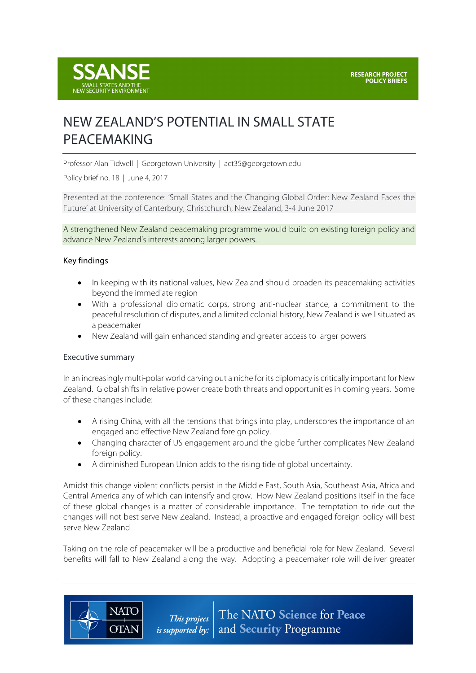

# NEW ZEALAND'S POTENTIAL IN SMALL STATE PEACEMAKING

Professor Alan Tidwell | Georgetown University | act35@georgetown.edu

Policy brief no. 18 | June 4, 2017

Presented at the conference: 'Small States and the Changing Global Order: New Zealand Faces the Future' at University of Canterbury, Christchurch, New Zealand, 3-4 June 2017

A strengthened New Zealand peacemaking programme would build on existing foreign policy and advance New Zealand's interests among larger powers.

## Key findings

- In keeping with its national values, New Zealand should broaden its peacemaking activities beyond the immediate region
- With a professional diplomatic corps, strong anti-nuclear stance, a commitment to the peaceful resolution of disputes, and a limited colonial history, New Zealand is well situated as a peacemaker
- New Zealand will gain enhanced standing and greater access to larger powers

#### Executive summary

**NATO** 

**OTAN** 

In an increasingly multi-polar world carving out a niche for its diplomacy is critically important for New Zealand. Global shifts in relative power create both threats and opportunities in coming years. Some of these changes include:

- A rising China, with all the tensions that brings into play, underscores the importance of an engaged and effective New Zealand foreign policy.
- Changing character of US engagement around the globe further complicates New Zealand foreign policy.
- A diminished European Union adds to the rising tide of global uncertainty.

Amidst this change violent conflicts persist in the Middle East, South Asia, Southeast Asia, Africa and Central America any of which can intensify and grow. How New Zealand positions itself in the face of these global changes is a matter of considerable importance. The temptation to ride out the changes will not best serve New Zealand. Instead, a proactive and engaged foreign policy will best serve New Zealand.

Taking on the role of peacemaker will be a productive and beneficial role for New Zealand. Several benefits will fall to New Zealand along the way. Adopting a peacemaker role will deliver greater

> The NATO Science for Peace This project *is supported by:*  $\vert$  and **Security** Programme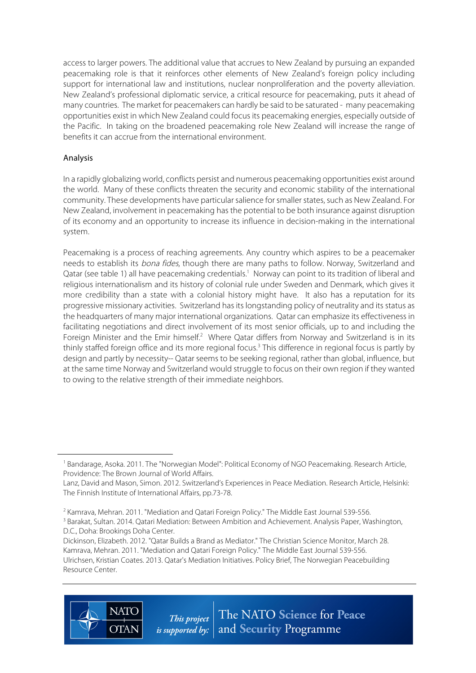access to larger powers. The additional value that accrues to New Zealand by pursuing an expanded peacemaking role is that it reinforces other elements of New Zealand's foreign policy including support for international law and institutions, nuclear nonproliferation and the poverty alleviation. New Zealand's professional diplomatic service, a critical resource for peacemaking, puts it ahead of many countries. The market for peacemakers can hardly be said to be saturated - many peacemaking opportunities exist in which New Zealand could focus its peacemaking energies, especially outside of the Pacific. In taking on the broadened peacemaking role New Zealand will increase the range of benefits it can accrue from the international environment.

# Analysis

 $\overline{a}$ 

In a rapidly globalizing world, conflicts persist and numerous peacemaking opportunities exist around the world. Many of these conflicts threaten the security and economic stability of the international community. These developments have particular salience for smaller states, such as New Zealand. For New Zealand, involvement in peacemaking has the potential to be both insurance against disruption of its economy and an opportunity to increase its influence in decision-making in the international system.

Peacemaking is a process of reaching agreements. Any country which aspires to be a peacemaker needs to establish its *bona fides*, though there are many paths to follow. Norway, Switzerland and Qatar (see table 1) all have peacemaking credentials.<sup>1</sup> Norway can point to its tradition of liberal and religious internationalism and its history of colonial rule under Sweden and Denmark, which gives it more credibility than a state with a colonial history might have. It also has a reputation for its progressive missionary activities. Switzerland has its longstanding policy of neutrality and its status as the headquarters of many major international organizations. Qatar can emphasize its effectiveness in facilitating negotiations and direct involvement of its most senior officials, up to and including the Foreign Minister and the Emir himself.<sup>2</sup> Where Qatar differs from Norway and Switzerland is in its thinly staffed foreign office and its more regional focus.<sup>3</sup> This difference in regional focus is partly by design and partly by necessity-- Qatar seems to be seeking regional, rather than global, influence, but at the same time Norway and Switzerland would struggle to focus on their own region if they wanted to owing to the relative strength of their immediate neighbors.

Dickinson, Elizabeth. 2012. "Qatar Builds a Brand as Mediator." The Christian Science Monitor, March 28. Kamrava, Mehran. 2011. "Mediation and Qatari Foreign Policy." The Middle East Journal 539-556. Ulrichsen, Kristian Coates. 2013. Qatar's Mediation Initiatives. Policy Brief, The Norwegian Peacebuilding Resource Center.



<sup>&</sup>lt;sup>1</sup> Bandarage, Asoka. 2011. The "Norwegian Model": Political Economy of NGO Peacemaking. Research Article, Providence: The Brown Journal of World Affairs.

Lanz, David and Mason, Simon. 2012. Switzerland's Experiences in Peace Mediation. Research Article, Helsinki: The Finnish Institute of International Affairs, pp.73-78.

<sup>&</sup>lt;sup>2</sup> Kamrava, Mehran. 2011. "Mediation and Qatari Foreign Policy." The Middle East Journal 539-556.

<sup>&</sup>lt;sup>3</sup> Barakat, Sultan. 2014. Qatari Mediation: Between Ambition and Achievement. Analysis Paper, Washington, D.C., Doha: Brookings Doha Center.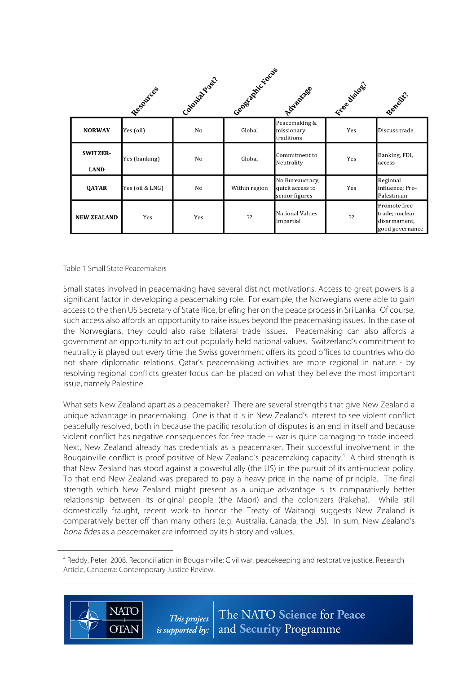|                                | Resources       | Coloniza Past. | Central Account | Advantage                                            | Free dialogs. | Benefit?                                                          |
|--------------------------------|-----------------|----------------|-----------------|------------------------------------------------------|---------------|-------------------------------------------------------------------|
| <b>NORWAY</b>                  | Yes (oil)       | No             | Global          | Peacemaking &<br>missionary<br>traditions            | Yes           | Discuss trade                                                     |
| <b>SWITZER-</b><br><b>LAND</b> | Yes (banking)   | No             | Global          | Commitment to<br>Neutrality                          | Yes           | Banking, FDI,<br>access                                           |
| QATAR                          | Yes (oil & LNG) | No             | Within region   | No Bureaucracy,<br>quick access to<br>senior figures | Yes           | Regional<br>influence; Pro-<br>Palestinian                        |
| <b>NEW ZEALAND</b>             | Yes             | Yes            | ??              | National Values<br>Impartial                         | ??            | Promote free<br>trade; nuclear<br>disarmament,<br>good governance |

Table 1 Small State Peacemakers

Small states involved in peacemaking have several distinct motivations. Access to great powers is a significant factor in developing a peacemaking role. For example, the Norwegians were able to gain access to the then US Secretary of State Rice, briefing her on the peace process in Sri Lanka. Of course, such access also affords an opportunity to raise issues beyond the peacemaking issues. In the case of the Norwegians, they could also raise bilateral trade issues. Peacemaking can also affords a government an opportunity to act out popularly held national values. Switzerland's commitment to neutrality is played out every time the Swiss government offers its good offices to countries who do not share diplomatic relations. Qatar's peacemaking activities are more regional in nature - by resolving regional conflicts greater focus can be placed on what they believe the most important issue, namely Palestine.

What sets New Zealand apart as a peacemaker? There are several strengths that give New Zealand a unique advantage in peacemaking. One is that it is in New Zealand's interest to see violent conflict peacefully resolved, both in because the pacific resolution of disputes is an end in itself and because violent conflict has negative consequences for free trade -- war is quite damaging to trade indeed. Next, New Zealand already has credentials as a peacemaker. Their successful involvement in the Bougainville conflict is proof positive of New Zealand's peacemaking capacity.<sup>4</sup> A third strength is that New Zealand has stood against a powerful ally (the US) in the pursuit of its anti-nuclear policy. To that end New Zealand was prepared to pay a heavy price in the name of principle. The final strength which New Zealand might present as a unique advantage is its comparatively better relationship between its original people (the Maori) and the colonizers (Pakeha). While still domestically fraught, recent work to honor the Treaty of Waitangi suggests New Zealand is comparatively better off than many others (e.g. Australia, Canada, the US). In sum, New Zealand's bona fides as a peacemaker are informed by its history and values.

<sup>4</sup> Reddy, Peter. 2008. Reconciliation in Bougainville: Civil war, peacekeeping and restorative justice. Research Article, Canberra: Contemporary Justice Review.



 $\overline{a}$ 

The NATO Science for Peace This project *is supported by:*  $\vert$  and **Security** Programme